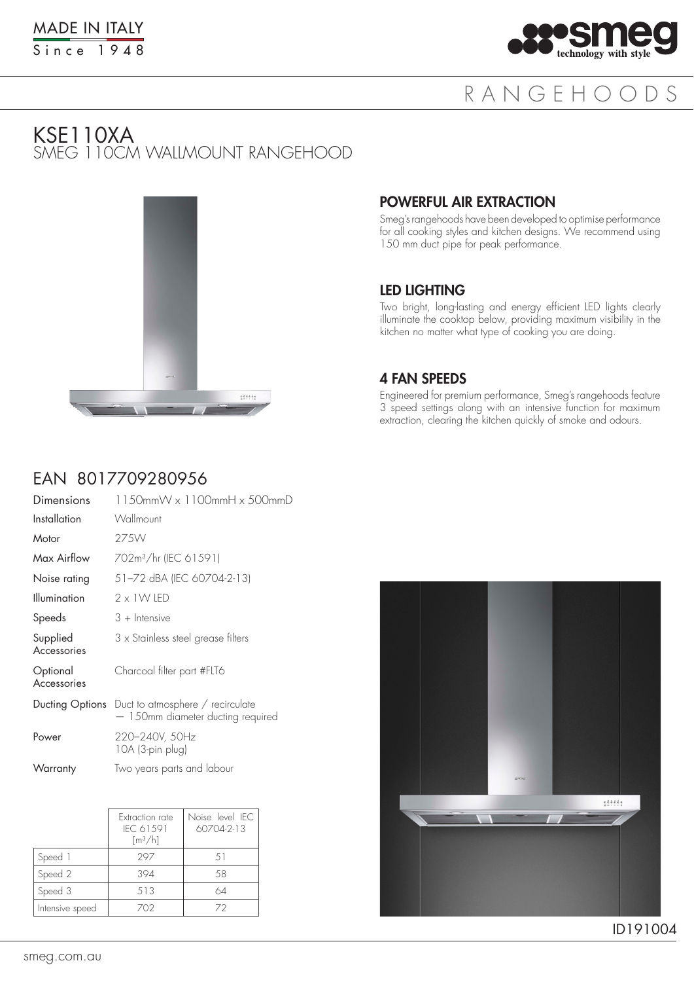

## RANGEHOODS

### KSE110XA SMEG 110CM WALLMOUNT RANGEHOOD



#### POWERFUL AIR EXTRACTION

Smeg's rangehoods have been developed to optimise performance for all cooking styles and kitchen designs. We recommend using 150 mm duct pipe for peak performance.

#### LED LIGHTING

Two bright, long-lasting and energy efficient LED lights clearly illuminate the cooktop below, providing maximum visibility in the kitchen no matter what type of cooking you are doing.

#### 4 FAN SPEEDS

Engineered for premium performance, Smeg's rangehoods feature 3 speed settings along with an intensive function for maximum extraction, clearing the kitchen quickly of smoke and odours.

### EAN 8017709280956

| Dimensions              | 1150mmW x 1100mmH x 500mmD                                                                   |
|-------------------------|----------------------------------------------------------------------------------------------|
| Installation            | Wallmount                                                                                    |
| Motor                   | 27.5W                                                                                        |
| Max Airflow             | 702m <sup>3</sup> /hr (IEC 61591)                                                            |
| Noise rating            | 51-72 dBA (IEC 60704-2-13)                                                                   |
| <b>Illumination</b>     | 2 × 1 W IED                                                                                  |
| Speeds                  | $3 +$ Intensive                                                                              |
| Supplied<br>Accessories | 3 x Stainless steel grease filters                                                           |
| Optional<br>Accessories | Charcoal filter part #FLT6                                                                   |
|                         | <b>Ducting Options</b> Duct to atmosphere / recirculate<br>- 150mm diameter ducting required |
| Power                   | 220-240V, 50Hz<br>10A (3-pin plug)                                                           |
| Warranty                | Two years parts and labour                                                                   |

|                 | Extraction rate<br>IFC 61591<br>$\lceil m^3/h \rceil$ | Noise level IFC<br>$60704 - 2 - 13$ |
|-----------------|-------------------------------------------------------|-------------------------------------|
| Speed 1         | 297                                                   | .51                                 |
| Speed 2         | 394                                                   | .58                                 |
| Speed 3         | 513                                                   | 64                                  |
| Intensive speed | 702                                                   | 72                                  |



ID191004